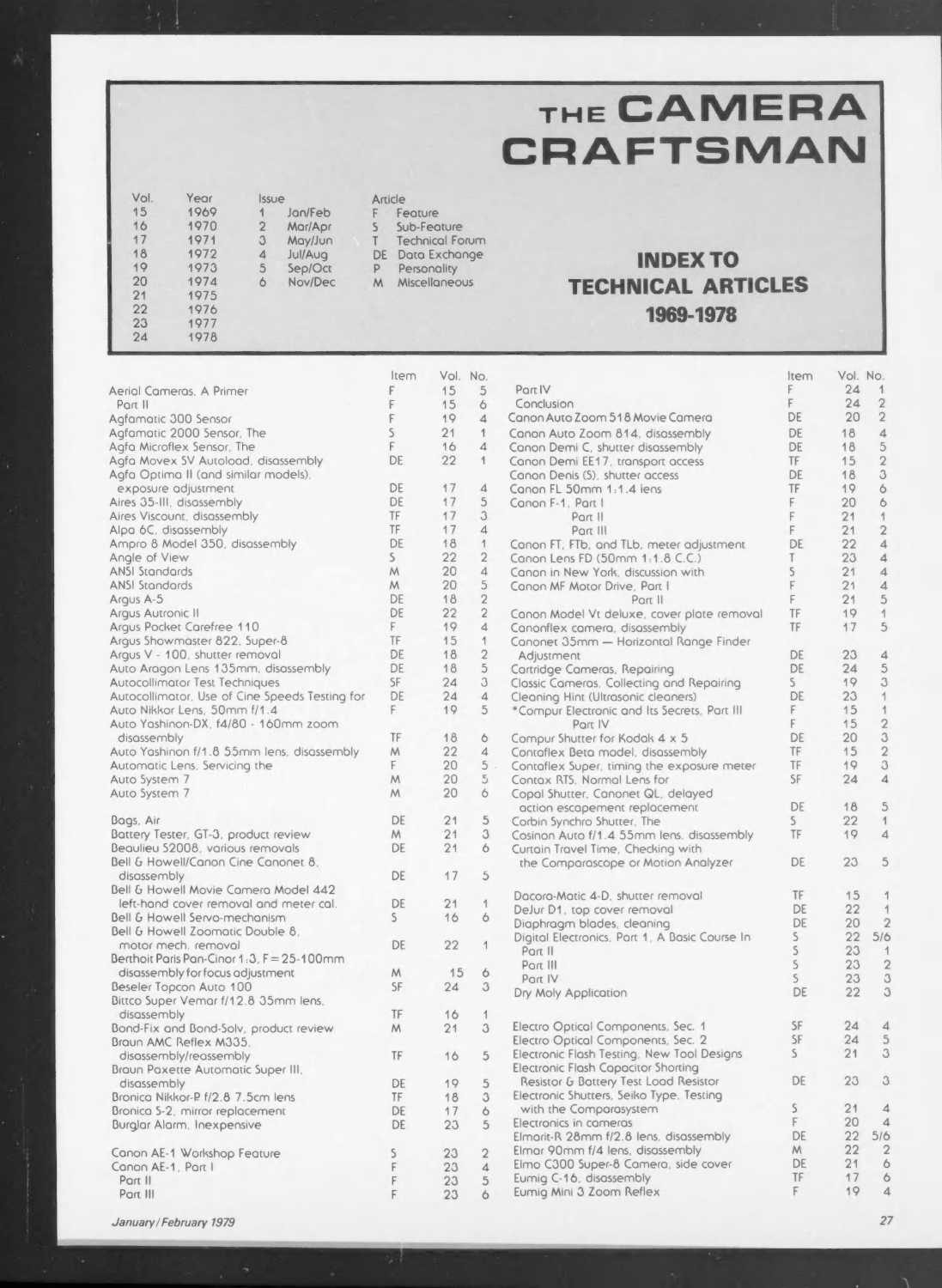## THE CAMERA CRAFTSMAN

| Vol. | Year | Issue |         |  |
|------|------|-------|---------|--|
| 15   | 1969 |       | Jan/Feb |  |
| 16   | 1970 | 2     | Mar/Apr |  |
| 17   | 1971 | 3     | May/Jun |  |
| 18   | 1972 | 4     | Jul/Aug |  |
| 19   | 1973 | 5     | Sep/Oct |  |
| 20   | 1974 | 6     | Nov/Dec |  |
| 21   | 1975 |       |         |  |
| 22   | 1976 |       |         |  |
| 23   | 1977 |       |         |  |
| 24   | 1978 |       |         |  |

Article Feature F Sub-Feature  $\mathsf{S}$ Technical Forum T DE Data Exchange  $P$ Personality M Miscellaneous

Item Vol. No.

## INDEX TO TECHNICAL ARTICLES 1969-1978

|                                                | Item         |          | Vol. No.       |                                                | Item         |    | Vol. No.                 |
|------------------------------------------------|--------------|----------|----------------|------------------------------------------------|--------------|----|--------------------------|
| Aerial Cameras, A Primer                       | F            | 15       | 5              | Port IV                                        | F            | 24 | 1                        |
| Part II                                        | F            | 15       | 6              | Conclusion                                     | F            | 24 | $\overline{2}$           |
| Agfamatic 300 Sensor                           | F            | 19       | $\overline{4}$ | Canon Auto Zoom 518 Movie Camera               | DE           | 20 | $\overline{2}$           |
| Agfamatic 2000 Sensor, The                     | $\mathsf{S}$ | 21       | 1              | Canon Auto Zoom 814, disassembly               | DE           | 18 | $\overline{4}$           |
| Agfa Microflex Sensor, The                     | F            | 16       | $\overline{4}$ | Canon Demi C, shutter disassembly              | DE           | 18 | 5                        |
| Agfa Movex SV Autoload, disassembly            | DE           | 22       | 1              | Canon Demi EE17, transport access              | TF           | 15 | $\overline{2}$           |
| Agfa Optima II (and similar models),           |              |          |                |                                                | DE           | 18 | 3                        |
|                                                | DE           | 17       | $\overline{4}$ | Canon Denis (S), shutter access                | TF           | 19 |                          |
| exposure adjustment                            |              |          | 5              | Canon FL 50mm 1:1.4 iens                       | F            |    | $\ddot{\circ}$           |
| Aires 35-III, disassembly                      | DE<br>TF     | 17<br>17 | 3              | Canon F-1, Part I                              |              | 20 | 6                        |
| Aires Viscount, disassembly                    |              |          |                | Part II                                        | F            | 21 | $\overline{\mathcal{A}}$ |
| Alpa 6C, disassembly                           | TF           | 17       | $\overline{4}$ | Part III                                       | F            | 21 | $\overline{2}$           |
| Ampro 8 Model 350, disassembly                 | DE           | 18       | $\mathbf{1}$   | Canon FT, FTb, and TLb, meter adjustment       | DE           | 22 | $\overline{4}$           |
| Angle of View                                  | $\mathsf{S}$ | 22       | $\overline{2}$ | Canon Lens FD (50mm 1:1.8 C.C.)                | T            | 23 | $\overline{\mathcal{A}}$ |
| <b>ANSI Standards</b>                          | M            | 20       | $\overline{4}$ | Canon in New York, discussion with             | $\mathsf{S}$ | 21 | $\overline{4}$           |
| <b>ANSI Standards</b>                          | M            | 20       | 5              | Canon MF Motor Drive, Part I                   | F            | 21 | $\overline{4}$           |
| Argus A-5                                      | DE           | 18       | $\overline{2}$ | Part II                                        | F            | 21 | 5                        |
| Argus Autronic II                              | DE           | 22       | $\overline{2}$ | Canon Model Vt deluxe, cover plate removal     | TF           | 19 | $\ddot{\mathcal{L}}$     |
| Argus Pocket Carefree 110                      | F            | 19       | $\overline{4}$ | Canonflex camera, disassembly                  | TF           | 17 | 5                        |
| Argus Showmaster 822, Super-8                  | TF           | 15       | 1              | Canonet 35mm - Horizontal Range Finder         |              |    |                          |
| Argus V - 100, shutter removal                 | DE           | 18       | $\overline{2}$ | Adjustment                                     | DE           | 23 | $\Delta$                 |
| Auto Aragon Lens 135mm, disassembly            | DE           | 18       | 5              | Cartridge Cameras, Repairing                   | DE           | 24 | 5                        |
| Autocollimator Test Techniques                 | <b>SF</b>    | 24       | 3              | Classic Cameras, Collecting and Repairing      | $\mathsf{S}$ | 19 | 3                        |
| Autocollimator, Use of Cine Speeds Testing for | DE           | 24       | $\overline{4}$ | Cleaning Hint (Ultrasonic cleaners)            | DE           | 23 | $\mathbf{1}$             |
| Auto Nikkor Lens, 50mm f/1.4                   | F            | 19       | 5              | *Compur Electronic and Its Secrets, Part III   | F            | 15 | $\mathbf{1}$             |
| Auto Yashinon-DX, f4/80 - 160mm zoom           |              |          |                | Part IV                                        | F.           | 15 | $\overline{2}$           |
| disassembly                                    | TF           | 18       | 6              | Compur Shutter for Kodak 4 x 5                 | DE           | 20 | 3                        |
| Auto Yashinon f/1.8 55mm lens, disassembly     | M            | 22       | $\overline{4}$ | Contaflex Beta model, disassembly              | TF           | 15 | $\overline{2}$           |
| Automatic Lens, Servicing the                  | F            | 20       | $5$ .          | Contaflex Super, timing the exposure meter     | TF           | 19 | 3                        |
| Auto System 7                                  | M            | 20       | $5\,$          | Contax RTS, Normal Lens for                    | SF           | 24 | $\Delta$                 |
| Auto System 7                                  | M            | 20       | 6              | Copal Shutter, Canonet QL, delayed             |              |    |                          |
|                                                |              |          |                | action escapement replacement                  | DE           | 18 | 5                        |
| Bags, Air                                      | DE           | 21       | 5              | Corbin Synchro Shutter, The                    | $\mathsf{S}$ | 22 | $\mathbf{1}$             |
| Battery Tester, GT-3, product review           | M            | 21       | 3              | Cosinon Auto f/1.4 55mm lens, disassembly      | TF           | 19 | $\Delta$                 |
| Beaulieu S2008, various removals               | DE           | 21       | 6              | Curtain Travel Time, Checking with             |              |    |                          |
| Bell & Howell/Canon Cine Canonet 8.            |              |          |                |                                                | DE           | 23 | 5                        |
| disassembly                                    | DE           | 17       | 5              | the Comparascope or Motion Analyzer            |              |    |                          |
| Bell & Howell Movie Camera Model 442           |              |          |                |                                                |              |    |                          |
|                                                | DE           | 21       | $\mathbf{1}$   | Dacora-Matic 4-D, shutter removal              | TF           | 15 | 1                        |
| left-hand cover removal and meter cal.         |              |          |                | DeJur D1, top cover removal                    | DE           | 22 | $\mathbf{1}$             |
| Bell & Howell Servo-mechanism                  | S            | 16       | 6              | Diaphragm blades, cleaning                     | DE           | 20 | $\overline{2}$           |
| Bell & Howell Zoomatic Double 8,               |              |          |                | Digital Electronics, Part 1, A Basic Course In | $\mathsf{S}$ | 22 | 5/6                      |
| motor mech. removal                            | DE           | 22       | 1              | Part II                                        | $\mathsf{S}$ | 23 | $\mathbf{1}$             |
| Berthoit Paris Pan-Cinor 1:3, F = 25-100mm     |              |          |                | Part III                                       | $\mathsf{S}$ | 23 | $\overline{2}$           |
| disassembly for focus adjustment               | M            | 15       | 6              | Part IV                                        | $\mathsf{S}$ | 23 | 3                        |
| Beseler Topcon Auto 100                        | SF           | 24       | 3              | Dry Moly Application                           | DE           | 22 | 3                        |
| Bittco Super Vemar f/12.8 35mm lens,           |              |          |                |                                                |              |    |                          |
| disassembly                                    | TF           | 16       | $\mathbf{1}$   |                                                |              |    |                          |
| Bond-Fix and Bond-Solv, product review         | M            | 21       | 3              | Electro Optical Components, Sec. 1             | SF           | 24 | $\overline{4}$           |
| Braun AMC Reflex M335.                         |              |          |                | Electro Optical Components, Sec. 2             | SF           | 24 | 5                        |
| disassembly/reassembly                         | TF           | 16       | 5              | Electronic Flash Testing, New Tool Designs     | $\mathsf{S}$ | 21 | 3                        |
| Braun Paxette Automatic Super III,             |              |          |                | Electronic Flash Capacitor Shorting            |              |    |                          |
| disassembly                                    | DE           | 19       | 5              | Resistor & Battery Test Load Resistor          | DE           | 23 | 3                        |
| Bronica Nikkor-P f/2.8 7.5cm lens              | TF           | 18       | 3              | Electronic Shutters, Seiko Type, Testing       |              |    |                          |
| Bronica S-2, mirror replacement                | DE           | 17       | 6              | with the Comparasystem                         | S.           | 21 | $\Delta$                 |
| Burglar Alarm, Inexpensive                     | DE           | 23       | 5              | Electronics in cameras                         | F            | 20 | $\Delta$                 |
|                                                |              |          |                | Elmarit-R 28mm f/2.8 lens, disassembly         | DE           | 22 | 5/6                      |
| Canon AE-1 Workshop Feature                    | S            | 23       | $\sqrt{2}$     | Elmar 90mm f/4 lens, disassembly               | M            | 22 | $\mathbf{2}$             |
| Canon AE-1, Part I                             | F            | 23       | $\overline{4}$ | Elmo C300 Super-8 Camera, side cover           | DE           | 21 | 6                        |
|                                                |              |          |                |                                                | TF           | 17 | 6                        |
| Part II                                        | F            | 23       | 5              | Eumig C-16, disassembly                        |              |    |                          |

January/February 1979

 $27$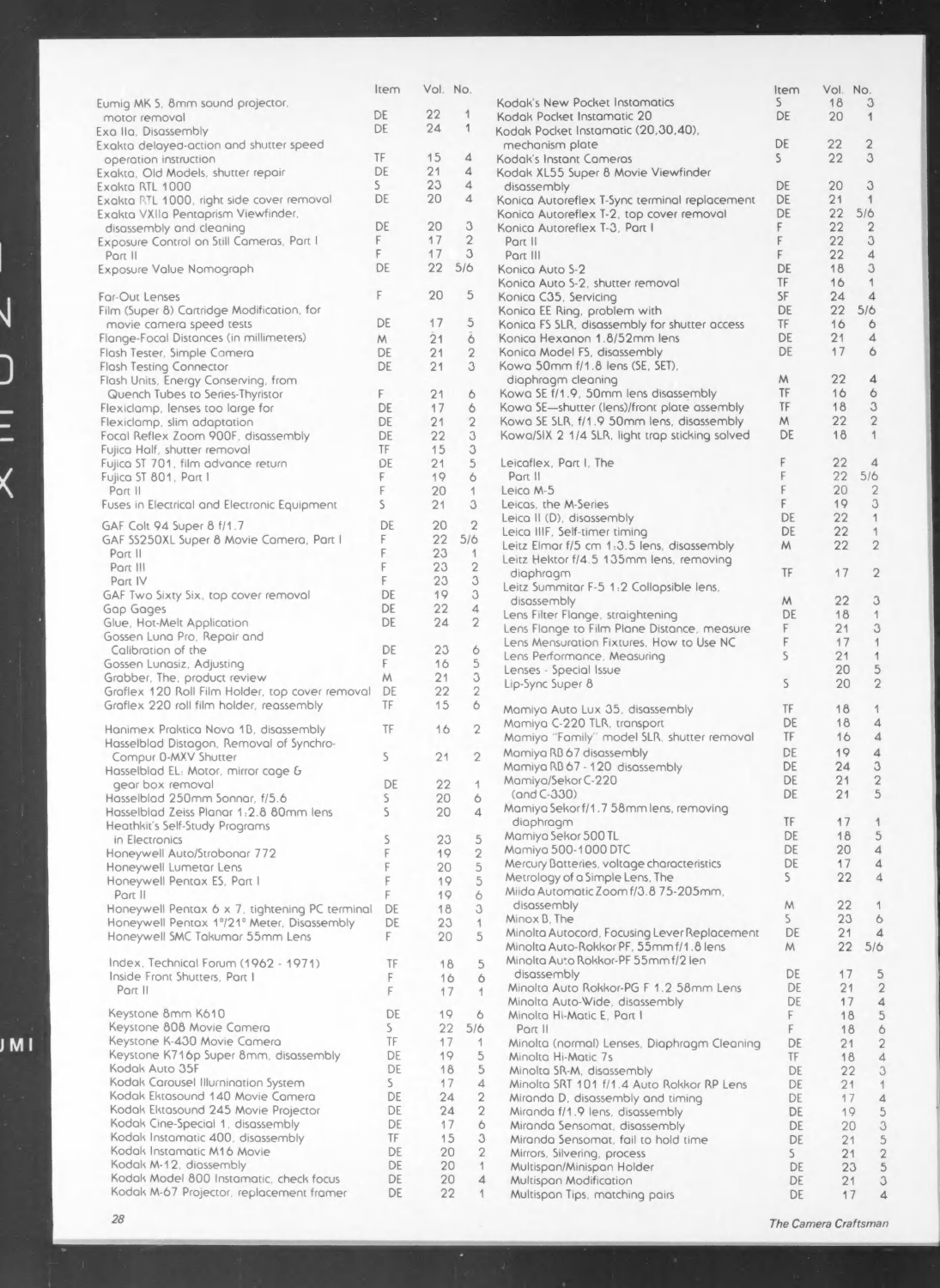|                                                    | Item         | Vol. No. |                   |                                                | Item         | Vol. No. |                |
|----------------------------------------------------|--------------|----------|-------------------|------------------------------------------------|--------------|----------|----------------|
| Eumig MK S, 8mm sound projector,                   |              |          |                   | Kodak's New Pocket Instamatics                 | S            | 18       | $\mathbf{3}$   |
| motor removal                                      | DE           | 22       | $\mathcal{A}$     | Kodak Pocket Instamatic 20                     | DE           | 20       | 1              |
| Exa IIa, Disassembly                               | DE           | 24       | $\mathcal{L}$     | Kodak Pocket Instamatic (20,30,40),            |              |          |                |
| Exakta delayed-action and shutter speed            |              |          |                   | mechanism plate                                | DE           | 22       | $\overline{2}$ |
| operation instruction                              | TF           | 15       | $\overline{4}$    | Kodak's Instant Cameras                        | $\mathsf{S}$ | 22       | 3              |
| Exakta, Old Models, shutter repair                 | DE           | 21       | $\overline{4}$    | Kodak XL55 Super 8 Movie Viewfinder            |              |          |                |
| Exakta RTL 1000                                    | $\mathsf{S}$ | 23       | $\overline{4}$    | disassembly                                    | DE           | 20       | 3              |
| Exakta RTL 1000, right side cover removal          | DE           | 20       | $\overline{4}$    | Konica Autoreflex T-Sync terminal replacement  | DE           | 21       | 1              |
| Exakta VXIIa Pentaprism Viewfinder,                |              |          |                   | Konica Autoreflex T-2, top cover removal       | DE           | 22       | 5/6            |
| disassembly and cleaning                           | DE           | 20       | 3                 | Konica Autoreflex T-3, Part I                  | F.           | 22       | $\overline{2}$ |
| Exposure Control on Still Cameras, Part I          | F.           | 17       | $\overline{2}$    | Part II                                        | F            | 22       | 3              |
| Port II                                            | F            | 17       | 3                 | Part III                                       | F            | 22       | 4              |
| Exposure Value Nomograph                           | DE           | 22       | 5/6               | Konica Auto 5-2                                | DE           | 18       | 3              |
|                                                    |              |          |                   | Konica Auto S-2, shutter removal               | TF           | 16       | 1              |
| Far-Out Lenses                                     | F            | 20       | 5                 | Konica C35, Servicing                          | <b>SF</b>    | 24       | $\overline{4}$ |
|                                                    |              |          |                   |                                                | DE           | 22       | 5/6            |
| Film (Super 8) Cartridge Modification, for         | DE           | 17       | 5                 | Konica EE Ring, problem with                   |              |          | 6              |
| movie camera speed tests                           |              |          |                   | Konica FS SLR, disassembly for shutter access  | TF           | 16       |                |
| Flange-Focal Distances (in millimeters)            | M            | 21       | $\ddot{\text{o}}$ | Konica Hexanon 1.8/52mm lens                   | DE           | 21       | $\overline{4}$ |
| Flash Tester, Simple Camera                        | DE           | 21       | $\overline{2}$    | Konica Model FS, disassembly                   | DE           | 17       | 6              |
| <b>Flash Testing Connector</b>                     | DE           | 21       | 3                 | Kowa 50mm f/1.8 lens (SE, SET),                |              |          |                |
| Flash Units, Energy Conserving, from               |              |          |                   | diaphragm cleaning                             | M            | 22       | $\overline{4}$ |
| Quench Tubes to Series-Thyristor                   | F.           | 21       | 6                 | Kowa SE f/1.9, 50mm lens disassembly           | TF           | 16       | 6              |
| Flexiclamp, lenses too large for                   | DE           | 17       | 6                 | Kowa SE-shutter (lens)/front plate assembly    | TF           | 18       | 3              |
| Flexiclamp, slim adaptation                        | DE           | 21       | $\overline{2}$    | Kowa SE SLR, f/1.9 50mm lens, disassembly      | M            | 22       | $\overline{2}$ |
| Focal Reflex Zoom 900F, disassembly                | DE           | 22       | 3                 | Kowa/SIX 2 1/4 SLR, light trap sticking solved | DE           | 18       | 1              |
| Fujica Half, shutter removal                       | TF           | 15       | 3                 |                                                |              |          |                |
| Fujica ST 701, film advance return                 | DE           | 21       | 5                 | Leicaflex, Part I, The                         | F            | 22       | $\overline{4}$ |
| Fujica ST 801, Part I                              | F.           | 19       | 6                 | Part II                                        |              | 22       | 5/6            |
| Part II                                            | F            | 20       | 1                 | Leica M-5                                      | F            | 20       | $\overline{2}$ |
| Fuses in Electrical and Electronic Equipment       | S            | 21       | 3                 | Leicas, the M-Series                           | F.           | 19       | 3              |
|                                                    |              |          |                   | Leica II (D), disassembly                      | DE           | 22       | $\mathbf{1}$   |
| GAF Colt 94 Super 8 f/1.7                          | DE           | 20       | $\sqrt{2}$        | Leica IIIF, Self-timer timing                  | DE           | 22       | 1              |
| GAF SS250XL Super 8 Movie Camera, Part I           | F            | 22       | 5/6               | Leitz Elmar f/5 cm 1:3.5 lens, disassembly     | M            | 22       | $\overline{2}$ |
| Part II                                            | F            | 23       | $\mathbf{1}$      | Leitz Hektor f/4.5 135mm lens, removing        |              |          |                |
| Part III                                           |              | 23       | $\overline{2}$    |                                                | TF           | 17       | $\overline{2}$ |
| Part IV                                            | F            | 23       | 3                 | diaphragm                                      |              |          |                |
| GAF Two Sixty Six, top cover removal               | DE           | 19       | 3                 | Leitz Summitar F-5 1:2 Collapsible lens,       |              |          |                |
| Gap Gages                                          | DE           | 22       | $\overline{4}$    | disassembly                                    | M            | 22       | 3              |
| Glue, Hot-Melt Application                         | DE           | 24       | $\overline{2}$    | Lens Filter Flange, straightening              | DE           | 18       | $\overline{1}$ |
| Gossen Luna Pro, Repair and                        |              |          |                   | Lens Flange to Film Plane Distance, measure    | F            | 21       | 3              |
| Calibration of the                                 | DE           | 23       | 6                 | Lens Mensuration Fixtures, How to Use NC       | F            | 17       | $\overline{1}$ |
| Gossen Lunasiz, Adjusting                          | F.           | 16       | 5                 | Lens Performance, Measuring                    | S            | 21       | 1              |
|                                                    |              | 21       | 3                 | Lenses - Special Issue                         |              | 20       | 5              |
| Grabber, The, product review                       | M            | 22       | $\overline{2}$    | Lip-Sync Super 8                               | S            | 20       | $\overline{2}$ |
| Graflex 120 Roll Film Holder, top cover removal DE |              |          |                   |                                                |              |          |                |
| Graflex 220 roll film holder, reassembly           | TF           | 15       | 6                 | Mamiya Auto Lux 35, disassembly                | TF.          | 18       | 1              |
| Hanimex Praktica Nova 1B, disassembly              | TF           | 16       | $\overline{2}$    | Mamiya C-220 TLR, transport                    | DE           | 18       | 4              |
|                                                    |              |          |                   | Mamiya "Family" model SLR, shutter removal     | TF           | 16       | 4              |
| Hasselblad Distagon, Removal of Synchro-           |              |          | $\overline{2}$    | Mamiya RB 67 disassembly                       | DE           | 19       | $\overline{4}$ |
| Compur 0-MXV Shutter                               | S            | 21       |                   | Mamiya RB 67 - 120 disassembly                 | DE           | 24       | 3              |
| Hasselblad EL: Motor, mirror cage &                |              |          |                   | Mamiya/Sekor C-220                             | DE           | 21       | $\overline{2}$ |
| gear box removal                                   | DE           | 22       | 1                 | $(and C-330)$                                  | DE           | 21       | 5              |
| Hasselblad 250mm Sonnar, f/5.6                     | S            | 20       | 6                 | Mamiya Sekorf/1.7 58mm lens, removing          |              |          |                |
| Hasselblad Zeiss Planar 1:2.8 80mm lens            | S            | 20       | $\overline{4}$    |                                                | TF           |          |                |
| Heathkit's Self-Study Programs                     |              |          |                   | diaphragm                                      |              | 17       | 5              |
| in Electronics                                     | S            | 23       | 5                 | Mamiya Sekor 500 TL                            | DE           | 18       |                |
| Honeywell Auto/Strobonar 772                       | $\Gamma$     | 19       | $\overline{2}$    | Mamiya 500-1000 DTC                            | DE           | 20       | 4              |
| Honeywell Lumetar Lens                             | F            | 20       | 5                 | Mercury Batteries, voltage characteristics     | DE           | 17       | 4              |
| Honeywell Pentox ES, Part I                        | F            | 19       | 5                 | Metrology of a Simple Lens, The                | S.           | 22       | $\overline{4}$ |
| Part II                                            | F            | 19       | 6                 | Miida Automatic Zoom f/3.8 75-205mm,           |              |          |                |
| Honeywell Pentax 6 x 7, tightening PC terminal     | DE           | 18       | 3                 | disassembly                                    | M            | 22       | 1              |
| Honeywell Pentax 1°/21° Meter, Disassembly         | DE           | 23       | 1                 | Minox B, The                                   | $\mathsf{S}$ | 23       | 6              |
| Honeywell SMC Takumar 55mm Lens                    | F.           | 20       | 5                 | Minolta Autocord, Focusing Lever Replacement   | DE           | 21       | $\overline{4}$ |
|                                                    |              |          |                   | Minolta Auto-Rokkor PF, 55mm f/1.8 lens        | M            | $22^{2}$ | 5/6            |
| Index, Technical Forum (1962 - 1971)               | TF           | 18       | 5                 | Minolta Auto Rokkor-PF 55mm f/2 len            |              |          |                |
| Inside Front Shutters, Part I                      | F            | 16       | 6                 | disassembly                                    | DE           | 17       | 5              |
| Part II                                            | F            | 17       | 1                 | Minolta Auto Rokkor-PG F 1.2 58mm Lens         | DE           | 21       | $\overline{2}$ |
|                                                    |              |          |                   | Minolta Auto-Wide, disassembly                 | DE           | 17       | 4              |
| Keystone 8mm K610                                  | DE           | 19       | 6                 | Minolta Hi-Matic E, Part I                     | F            | 18       | 5              |
| Keystone 808 Movie Camera                          | $\mathsf{S}$ | 22       | 5/6               | Part II                                        | F            | 18       | 6              |
| Keystone K-430 Movie Camera                        | TF           | 17       | $\mathbf{1}$      | Minolta (normal) Lenses, Diaphragm Cleaning    | DE           | 21       | $\overline{2}$ |
| Keystone K716p Super 8mm, disassembly              | DE           | 19       | 5                 | Minolta Hi-Matic 7s                            | TF           | 18       | $\overline{4}$ |
| Kodak Auto 35F                                     | DE           | 18       | 5                 | Minolta SR-M, disassembly                      | DE           | 22       | 3              |
| Kodak Carousel Illurnination System                | $\mathsf{S}$ | 17       | $\overline{4}$    | Minolto SRT 101 f/1.4 Auto Rokkor RP Lens      | DE           | 21       | 1              |
| Kodak Ektasound 140 Movie Camera                   | DE           | 24       | $\overline{2}$    | Miranda D, disassembly and timing              | DE           | 17       | $\overline{4}$ |
| Kodak Ektasound 245 Movie Projector                | DE           | 24       | $\overline{2}$    |                                                |              |          |                |
| Kodak Cine-Special 1, disassembly                  | DE           | 17       | 6                 | Miranda f/1.9 lens, disassembly                | DE           | 19       | 5              |
|                                                    |              |          |                   | Miranda Sensomat, disassembly                  | DE           | 20       | 3              |
| Kodak Instamatic 400, disassembly                  | TF           | 15       | 3                 | Miranda Sensomat, fail to hold time            | DE           | 21       | 5              |
| Kodak Instamatic M16 Movie                         | DE           | 20       | $\overline{2}$    | Mirrors, Silvering, process                    | S            | 21       | $\overline{2}$ |
| Kodak M-12, diassembly                             | DE           | 20       | $\overline{1}$    | Multispan/Minispan Holder                      | DE           | 23       | 5              |
| Kodak Model 800 Instamatic, check focus            | DE           | 20       | $\overline{4}$    | Multispan Modification                         | DE           | 21       | 3              |
| Kodak M-67 Projector, replacement framer           | DE           | 22       | 1                 | Multispan Tips, matching pairs                 | DE           | 17       | $\overline{4}$ |

 $\overline{\mathsf{V}}$ 

コ<br>ニ<br>く

IMI